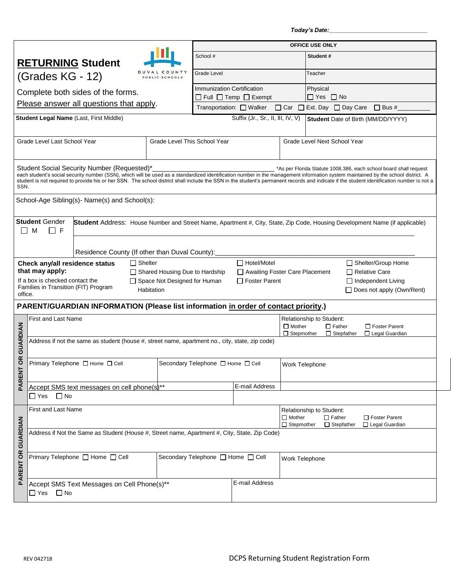*Today's Date:\_\_\_\_\_\_\_\_\_\_\_\_\_\_\_\_\_\_\_\_\_\_\_\_\_\_\_\_\_\_*

|                                                                                                                         |                                                                                                 |                                                                                     |                                                   |                                                                                                                                                                                                                                                                                                                                                                                                                                                      | <b>OFFICE USE ONLY</b>                                   |                                                                                                                             |                                    |                                       |  |  |
|-------------------------------------------------------------------------------------------------------------------------|-------------------------------------------------------------------------------------------------|-------------------------------------------------------------------------------------|---------------------------------------------------|------------------------------------------------------------------------------------------------------------------------------------------------------------------------------------------------------------------------------------------------------------------------------------------------------------------------------------------------------------------------------------------------------------------------------------------------------|----------------------------------------------------------|-----------------------------------------------------------------------------------------------------------------------------|------------------------------------|---------------------------------------|--|--|
|                                                                                                                         |                                                                                                 |                                                                                     |                                                   |                                                                                                                                                                                                                                                                                                                                                                                                                                                      |                                                          |                                                                                                                             |                                    |                                       |  |  |
|                                                                                                                         |                                                                                                 | <b>RETURNING Student</b>                                                            |                                                   |                                                                                                                                                                                                                                                                                                                                                                                                                                                      | School #                                                 |                                                                                                                             |                                    | Student#                              |  |  |
| COUNTY<br>(Grades KG - 12)<br>PUBLIC SCHOOLS                                                                            |                                                                                                 |                                                                                     |                                                   | <b>Grade Level</b>                                                                                                                                                                                                                                                                                                                                                                                                                                   |                                                          |                                                                                                                             | Teacher                            |                                       |  |  |
| Complete both sides of the forms.                                                                                       |                                                                                                 |                                                                                     |                                                   |                                                                                                                                                                                                                                                                                                                                                                                                                                                      | <b>Immunization Certification</b>                        |                                                                                                                             |                                    | Physical                              |  |  |
| Please answer all questions that apply.                                                                                 |                                                                                                 |                                                                                     |                                                   |                                                                                                                                                                                                                                                                                                                                                                                                                                                      | $\Box$ Full $\Box$ Temp $\Box$ Exempt                    |                                                                                                                             |                                    | $\Box$ Yes $\Box$ No                  |  |  |
|                                                                                                                         |                                                                                                 |                                                                                     |                                                   |                                                                                                                                                                                                                                                                                                                                                                                                                                                      | Transportation: $\Box$ Walker                            |                                                                                                                             |                                    | □ Car □ Ext. Day □ Day Care □ Bus #   |  |  |
| Student Legal Name (Last, First Middle)                                                                                 |                                                                                                 |                                                                                     |                                                   | Suffix (Jr., Sr., II, III, IV, V)                                                                                                                                                                                                                                                                                                                                                                                                                    |                                                          |                                                                                                                             | Student Date of Birth (MM/DD/YYYY) |                                       |  |  |
| Grade Level Last School Year<br>Grade Level This School Year                                                            |                                                                                                 |                                                                                     |                                                   |                                                                                                                                                                                                                                                                                                                                                                                                                                                      |                                                          | Grade Level Next School Year                                                                                                |                                    |                                       |  |  |
| Student Social Security Number (Requested)*<br>SSN.                                                                     |                                                                                                 |                                                                                     |                                                   | *As per Florida Statute 1008.386, each school board shall request<br>each student's social security number (SSN), which will be used as a standardized identification number in the management information system maintained by the school district. A<br>student is not required to provide his or her SSN. The school district shall include the SSN in the student's permanent records and indicate if the student identification number is not a |                                                          |                                                                                                                             |                                    |                                       |  |  |
| School-Age Sibling(s)- Name(s) and School(s):                                                                           |                                                                                                 |                                                                                     |                                                   |                                                                                                                                                                                                                                                                                                                                                                                                                                                      |                                                          |                                                                                                                             |                                    |                                       |  |  |
| <b>Student Gender</b><br>M<br>l I F                                                                                     |                                                                                                 |                                                                                     |                                                   |                                                                                                                                                                                                                                                                                                                                                                                                                                                      |                                                          | Student Address: House Number and Street Name, Apartment #, City, State, Zip Code, Housing Development Name (if applicable) |                                    |                                       |  |  |
|                                                                                                                         |                                                                                                 | Residence County (If other than Duval County):                                      |                                                   |                                                                                                                                                                                                                                                                                                                                                                                                                                                      |                                                          |                                                                                                                             |                                    |                                       |  |  |
|                                                                                                                         | Check any/all residence status                                                                  |                                                                                     | $\Box$ Shelter                                    |                                                                                                                                                                                                                                                                                                                                                                                                                                                      | □ Hotel/Motel<br>□ Shelter/Group Home                    |                                                                                                                             |                                    |                                       |  |  |
|                                                                                                                         | that may apply:                                                                                 |                                                                                     |                                                   | □ Shared Housing Due to Hardship                                                                                                                                                                                                                                                                                                                                                                                                                     | □ Awaiting Foster Care Placement<br>$\Box$ Relative Care |                                                                                                                             |                                    |                                       |  |  |
| If a box is checked contact the<br>□ Space Not Designed for Human<br>Families in Transition (FIT) Program<br>Habitation |                                                                                                 |                                                                                     | $\Box$ Foster Parent<br>$\Box$ Independent Living |                                                                                                                                                                                                                                                                                                                                                                                                                                                      |                                                          | □ Does not apply (Own/Rent)                                                                                                 |                                    |                                       |  |  |
| office.                                                                                                                 |                                                                                                 |                                                                                     |                                                   |                                                                                                                                                                                                                                                                                                                                                                                                                                                      |                                                          |                                                                                                                             |                                    |                                       |  |  |
|                                                                                                                         |                                                                                                 | PARENT/GUARDIAN INFORMATION (Please list information in order of contact priority.) |                                                   |                                                                                                                                                                                                                                                                                                                                                                                                                                                      |                                                          |                                                                                                                             |                                    |                                       |  |  |
|                                                                                                                         | <b>First and Last Name</b>                                                                      |                                                                                     |                                                   |                                                                                                                                                                                                                                                                                                                                                                                                                                                      |                                                          |                                                                                                                             | Relationship to Student:           |                                       |  |  |
|                                                                                                                         |                                                                                                 |                                                                                     |                                                   |                                                                                                                                                                                                                                                                                                                                                                                                                                                      |                                                          | $\Box$ Mother<br>$\Box$ Father<br>□ Foster Parent<br>$\Box$ Stepmother<br>$\Box$ Stepfather<br>□ Legal Guardian             |                                    |                                       |  |  |
| <b>GUARDIAN</b>                                                                                                         | Address if not the same as student (house #, street name, apartment no., city, state, zip code) |                                                                                     |                                                   |                                                                                                                                                                                                                                                                                                                                                                                                                                                      |                                                          |                                                                                                                             |                                    |                                       |  |  |
| <b>OR</b>                                                                                                               | Primary Telephone □ Home □ Cell                                                                 |                                                                                     |                                                   | Secondary Telephone $\Box$ Home $\Box$ Cell                                                                                                                                                                                                                                                                                                                                                                                                          |                                                          | Work Telephone                                                                                                              |                                    |                                       |  |  |
| PARENT                                                                                                                  |                                                                                                 |                                                                                     |                                                   |                                                                                                                                                                                                                                                                                                                                                                                                                                                      |                                                          |                                                                                                                             |                                    |                                       |  |  |
|                                                                                                                         | Accept SMS text messages on cell phone(s)**<br>$\Box$ No<br>$\Box$ Yes                          |                                                                                     |                                                   |                                                                                                                                                                                                                                                                                                                                                                                                                                                      |                                                          | E-mail Address                                                                                                              |                                    |                                       |  |  |
|                                                                                                                         | First and Last Name                                                                             |                                                                                     |                                                   |                                                                                                                                                                                                                                                                                                                                                                                                                                                      |                                                          | Relationship to Student:<br>$\Box$ Mother                                                                                   |                                    | $\Box$ Father<br>$\Box$ Foster Parent |  |  |
|                                                                                                                         | Address if Not the Same as Student (House #, Street name, Apartment #, City, State, Zip Code)   |                                                                                     |                                                   |                                                                                                                                                                                                                                                                                                                                                                                                                                                      |                                                          | $\Box$ Stepmother                                                                                                           |                                    | $\Box$ Stepfather<br>□ Legal Guardian |  |  |
|                                                                                                                         |                                                                                                 |                                                                                     |                                                   |                                                                                                                                                                                                                                                                                                                                                                                                                                                      |                                                          |                                                                                                                             |                                    |                                       |  |  |
| PARENT OR GUARDIAN                                                                                                      | Primary Telephone □ Home □ Cell                                                                 |                                                                                     |                                                   | Secondary Telephone □ Home □ Cell                                                                                                                                                                                                                                                                                                                                                                                                                    |                                                          | Work Telephone                                                                                                              |                                    |                                       |  |  |
|                                                                                                                         |                                                                                                 |                                                                                     |                                                   |                                                                                                                                                                                                                                                                                                                                                                                                                                                      |                                                          |                                                                                                                             |                                    |                                       |  |  |
|                                                                                                                         | Accept SMS Text Messages on Cell Phone(s)**                                                     |                                                                                     |                                                   |                                                                                                                                                                                                                                                                                                                                                                                                                                                      | E-mail Address                                           |                                                                                                                             |                                    |                                       |  |  |
|                                                                                                                         | $\Box$ No<br>□ Yes                                                                              |                                                                                     |                                                   |                                                                                                                                                                                                                                                                                                                                                                                                                                                      |                                                          |                                                                                                                             |                                    |                                       |  |  |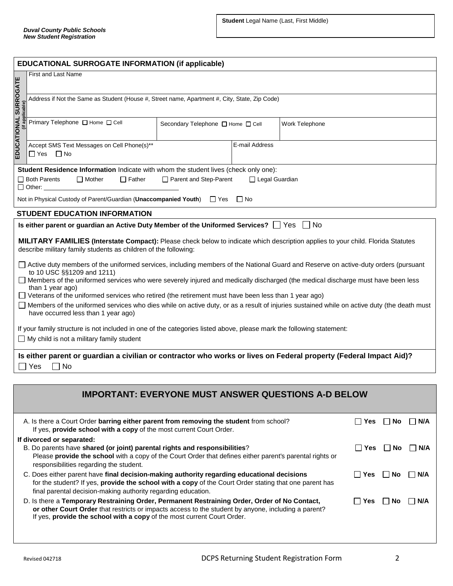| <b>EDUCATIONAL SURROGATE INFORMATION (if applicable)</b>                                                                                                                                                                                                                                                |                                                                                                                      |                                             |           |                                                            |  |  |  |  |
|---------------------------------------------------------------------------------------------------------------------------------------------------------------------------------------------------------------------------------------------------------------------------------------------------------|----------------------------------------------------------------------------------------------------------------------|---------------------------------------------|-----------|------------------------------------------------------------|--|--|--|--|
|                                                                                                                                                                                                                                                                                                         | <b>First and Last Name</b>                                                                                           |                                             |           |                                                            |  |  |  |  |
|                                                                                                                                                                                                                                                                                                         | Address if Not the Same as Student (House #, Street name, Apartment #, City, State, Zip Code)                        |                                             |           |                                                            |  |  |  |  |
| EDUCATIONAL SURROGATE<br>EDUCATIONAL SURROGATE                                                                                                                                                                                                                                                          | Primary Telephone □ Home □ Cell                                                                                      | Secondary Telephone $\Box$ Home $\Box$ Cell |           | Work Telephone                                             |  |  |  |  |
|                                                                                                                                                                                                                                                                                                         | Accept SMS Text Messages on Cell Phone(s)**<br>$\Box$ Yes $\Box$ No                                                  | E-mail Address                              |           |                                                            |  |  |  |  |
|                                                                                                                                                                                                                                                                                                         | Student Residence Information Indicate with whom the student lives (check only one):                                 |                                             |           |                                                            |  |  |  |  |
|                                                                                                                                                                                                                                                                                                         | Parent and Step-Parent<br>$\Box$ Both Parents<br>$\Box$ Mother<br>$\Box$ Father<br>□ Legal Guardian<br>$\Box$ Other: |                                             |           |                                                            |  |  |  |  |
|                                                                                                                                                                                                                                                                                                         | Not in Physical Custody of Parent/Guardian (Unaccompanied Youth) $\Box$ Yes                                          |                                             | $\Box$ No |                                                            |  |  |  |  |
|                                                                                                                                                                                                                                                                                                         | <b>STUDENT EDUCATION INFORMATION</b>                                                                                 |                                             |           |                                                            |  |  |  |  |
|                                                                                                                                                                                                                                                                                                         | Is either parent or guardian an Active Duty Member of the Uniformed Services? $\Box$ Yes                             |                                             |           | l INo                                                      |  |  |  |  |
| MILITARY FAMILIES (Interstate Compact): Please check below to indicate which description applies to your child. Florida Statutes<br>describe military family students as children of the following:                                                                                                     |                                                                                                                      |                                             |           |                                                            |  |  |  |  |
| □ Active duty members of the uniformed services, including members of the National Guard and Reserve on active-duty orders (pursuant<br>to 10 USC §§1209 and 1211)<br>□ Members of the uniformed services who were severely injured and medically discharged (the medical discharge must have been less |                                                                                                                      |                                             |           |                                                            |  |  |  |  |
| than 1 year ago)                                                                                                                                                                                                                                                                                        |                                                                                                                      |                                             |           |                                                            |  |  |  |  |
| □ Veterans of the uniformed services who retired (the retirement must have been less than 1 year ago)<br>Members of the uniformed services who dies while on active duty, or as a result of injuries sustained while on active duty (the death must<br>have occurred less than 1 year ago)              |                                                                                                                      |                                             |           |                                                            |  |  |  |  |
| If your family structure is not included in one of the categories listed above, please mark the following statement:<br>$\Box$ My child is not a military family student                                                                                                                                |                                                                                                                      |                                             |           |                                                            |  |  |  |  |
| Is either parent or guardian a civilian or contractor who works or lives on Federal property (Federal Impact Aid)?<br>Yes<br>$\Box$ No                                                                                                                                                                  |                                                                                                                      |                                             |           |                                                            |  |  |  |  |
|                                                                                                                                                                                                                                                                                                         |                                                                                                                      |                                             |           |                                                            |  |  |  |  |
|                                                                                                                                                                                                                                                                                                         |                                                                                                                      |                                             |           | <b>IMPORTANT: EVERYONE MUST ANSWER QUESTIONS A-D BELOW</b> |  |  |  |  |

| A. Is there a Court Order barring either parent from removing the student from school?<br>If yes, provide school with a copy of the most current Court Order.                                                                                                                  | Yes    | No.     | ∣N/A   |
|--------------------------------------------------------------------------------------------------------------------------------------------------------------------------------------------------------------------------------------------------------------------------------|--------|---------|--------|
| If divorced or separated:<br>B. Do parents have shared (or joint) parental rights and responsibilities?<br>Please provide the school with a copy of the Court Order that defines either parent's parental rights or<br>responsibilities regarding the student.                 | l Yes  | l INo   | IN/A   |
| C. Does either parent have final decision-making authority regarding educational decisions<br>for the student? If yes, provide the school with a copy of the Court Order stating that one parent has<br>final parental decision-making authority regarding education.          | i TYes | INO INA |        |
| D. Is there a Temporary Restraining Order, Permanent Restraining Order, Order of No Contact,<br>or other Court Order that restricts or impacts access to the student by anyone, including a parent?<br>If yes, provide the school with a copy of the most current Court Order. | l Yes  | No.     | I IN/A |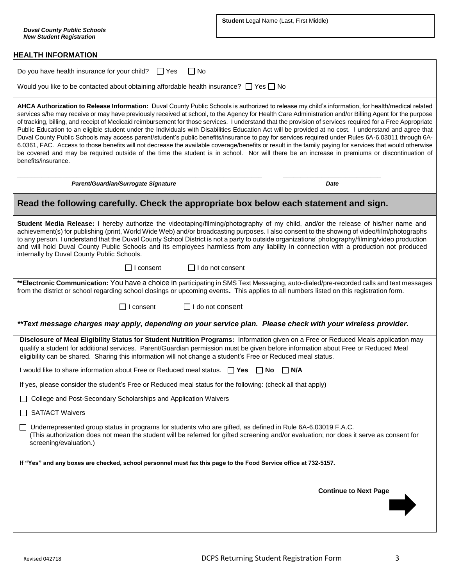*Duval County Public Schools New Student Registration*

**Student** Legal Name (Last, First Middle)

## **HEALTH INFORMATION**

| $\Box$ No<br>Do you have health insurance for your child? $\Box$ Yes                                                                                                                                                                                                                                                                                                                                                                                                                                                                                                                                                                                                                                                                                                                                                                                                                                                                                                                                                                                                                                                          |  |  |  |  |  |
|-------------------------------------------------------------------------------------------------------------------------------------------------------------------------------------------------------------------------------------------------------------------------------------------------------------------------------------------------------------------------------------------------------------------------------------------------------------------------------------------------------------------------------------------------------------------------------------------------------------------------------------------------------------------------------------------------------------------------------------------------------------------------------------------------------------------------------------------------------------------------------------------------------------------------------------------------------------------------------------------------------------------------------------------------------------------------------------------------------------------------------|--|--|--|--|--|
| Would you like to be contacted about obtaining affordable health insurance? $\Box$ Yes $\Box$ No                                                                                                                                                                                                                                                                                                                                                                                                                                                                                                                                                                                                                                                                                                                                                                                                                                                                                                                                                                                                                              |  |  |  |  |  |
| AHCA Authorization to Release Information: Duval County Public Schools is authorized to release my child's information, for health/medical related<br>services s/he may receive or may have previously received at school, to the Agency for Health Care Administration and/or Billing Agent for the purpose<br>of tracking, billing, and receipt of Medicaid reimbursement for those services. I understand that the provision of services required for a Free Appropriate<br>Public Education to an eligible student under the Individuals with Disabilities Education Act will be provided at no cost. I understand and agree that<br>Duval County Public Schools may access parent/student's public benefits/insurance to pay for services required under Rules 6A-6.03011 through 6A-<br>6.0361, FAC. Access to those benefits will not decrease the available coverage/benefits or result in the family paying for services that would otherwise<br>be covered and may be required outside of the time the student is in school. Nor will there be an increase in premiums or discontinuation of<br>benefits/insurance. |  |  |  |  |  |
| Parent/Guardian/Surrogate Signature<br><b>Date</b>                                                                                                                                                                                                                                                                                                                                                                                                                                                                                                                                                                                                                                                                                                                                                                                                                                                                                                                                                                                                                                                                            |  |  |  |  |  |
| Read the following carefully. Check the appropriate box below each statement and sign.                                                                                                                                                                                                                                                                                                                                                                                                                                                                                                                                                                                                                                                                                                                                                                                                                                                                                                                                                                                                                                        |  |  |  |  |  |
| Student Media Release: I hereby authorize the videotaping/filming/photography of my child, and/or the release of his/her name and<br>achievement(s) for publishing (print, World Wide Web) and/or broadcasting purposes. I also consent to the showing of video/film/photographs<br>to any person. I understand that the Duval County School District is not a party to outside organizations' photography/filming/video production<br>and will hold Duval County Public Schools and its employees harmless from any liability in connection with a production not produced<br>internally by Duval County Public Schools.                                                                                                                                                                                                                                                                                                                                                                                                                                                                                                     |  |  |  |  |  |
| $\Box$ I do not consent<br>I consent                                                                                                                                                                                                                                                                                                                                                                                                                                                                                                                                                                                                                                                                                                                                                                                                                                                                                                                                                                                                                                                                                          |  |  |  |  |  |
| **Electronic Communication: You have a choice in participating in SMS Text Messaging, auto-dialed/pre-recorded calls and text messages<br>from the district or school regarding school closings or upcoming events. This applies to all numbers listed on this registration form.                                                                                                                                                                                                                                                                                                                                                                                                                                                                                                                                                                                                                                                                                                                                                                                                                                             |  |  |  |  |  |
| I do not consent<br>I consent                                                                                                                                                                                                                                                                                                                                                                                                                                                                                                                                                                                                                                                                                                                                                                                                                                                                                                                                                                                                                                                                                                 |  |  |  |  |  |
| **Text message charges may apply, depending on your service plan. Please check with your wireless provider.                                                                                                                                                                                                                                                                                                                                                                                                                                                                                                                                                                                                                                                                                                                                                                                                                                                                                                                                                                                                                   |  |  |  |  |  |
| Disclosure of Meal Eligibility Status for Student Nutrition Programs: Information given on a Free or Reduced Meals application may<br>qualify a student for additional services. Parent/Guardian permission must be given before information about Free or Reduced Meal<br>eligibility can be shared. Sharing this information will not change a student's Free or Reduced meal status.                                                                                                                                                                                                                                                                                                                                                                                                                                                                                                                                                                                                                                                                                                                                       |  |  |  |  |  |
| I would like to share information about Free or Reduced meal status. $\Box$ Yes<br>$\Box$ N/A<br>∣ ∣No                                                                                                                                                                                                                                                                                                                                                                                                                                                                                                                                                                                                                                                                                                                                                                                                                                                                                                                                                                                                                        |  |  |  |  |  |
| If yes, please consider the student's Free or Reduced meal status for the following: (check all that apply)                                                                                                                                                                                                                                                                                                                                                                                                                                                                                                                                                                                                                                                                                                                                                                                                                                                                                                                                                                                                                   |  |  |  |  |  |
| College and Post-Secondary Scholarships and Application Waivers                                                                                                                                                                                                                                                                                                                                                                                                                                                                                                                                                                                                                                                                                                                                                                                                                                                                                                                                                                                                                                                               |  |  |  |  |  |
| <b>SAT/ACT Waivers</b>                                                                                                                                                                                                                                                                                                                                                                                                                                                                                                                                                                                                                                                                                                                                                                                                                                                                                                                                                                                                                                                                                                        |  |  |  |  |  |
| Underrepresented group status in programs for students who are gifted, as defined in Rule 6A-6.03019 F.A.C.<br>(This authorization does not mean the student will be referred for gifted screening and/or evaluation; nor does it serve as consent for<br>screening/evaluation.)                                                                                                                                                                                                                                                                                                                                                                                                                                                                                                                                                                                                                                                                                                                                                                                                                                              |  |  |  |  |  |
| If "Yes" and any boxes are checked, school personnel must fax this page to the Food Service office at 732-5157.                                                                                                                                                                                                                                                                                                                                                                                                                                                                                                                                                                                                                                                                                                                                                                                                                                                                                                                                                                                                               |  |  |  |  |  |
| <b>Continue to Next Page</b>                                                                                                                                                                                                                                                                                                                                                                                                                                                                                                                                                                                                                                                                                                                                                                                                                                                                                                                                                                                                                                                                                                  |  |  |  |  |  |